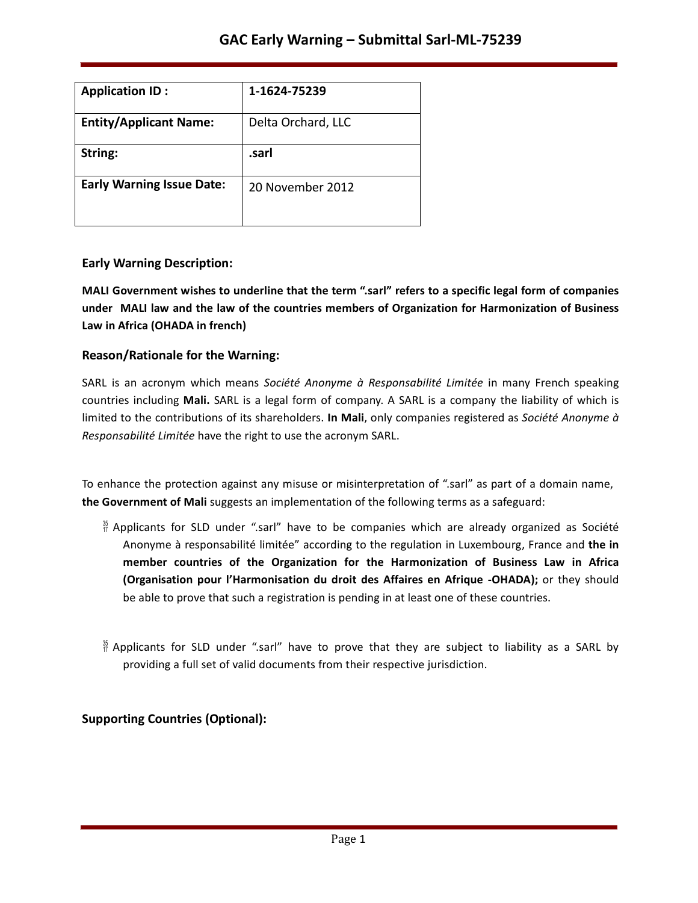| <b>Application ID:</b>           | 1-1624-75239       |
|----------------------------------|--------------------|
| <b>Entity/Applicant Name:</b>    | Delta Orchard, LLC |
| String:                          | .sarl              |
| <b>Early Warning Issue Date:</b> | 20 November 2012   |

#### **Early Warning Description:**

**MALI Government wishes to underline that the term ".sarl" refers to a specific legal form of companies under MALI law and the law of the countries members of Organization for Harmonization of Business Law in Africa (OHADA in french)**

#### **Reason/Rationale for the Warning:**

SARL is an acronym which means *Société Anonyme à Responsabilité Limitée* in many French speaking countries including Mali. SARL is a legal form of company. A SARL is a company the liability of which is limited to the contributions of its shareholders. In Mali, only companies registered as *Société Anonyme à Responsabilité Limitée* have the right to use the acronym SARL.

To enhance the protection against any misuse or misinterpretation of ".sarl" as part of a domain name, **the Government of Mali** suggests an implementation of the following terms as a safeguard:

- $\frac{36}{17}$  Applicants for SLD under ".sarl" have to be companies which are already organized as Société Anonyme à responsabilité limitée" according to the regulation in Luxembourg, France and the in **member countries of the Organization for the Harmonization of Business Law in Africa (Organisation pour l'Harmonisation du droit des Affaires en Afrique -OHADA);** or they should be able to prove that such a registration is pending in at least one of these countries.
- $\frac{36}{7}$  Applicants for SLD under ".sarl" have to prove that they are subject to liability as a SARL by providing a full set of valid documents from their respective jurisdiction.

## **Supporting Countries (Optional):**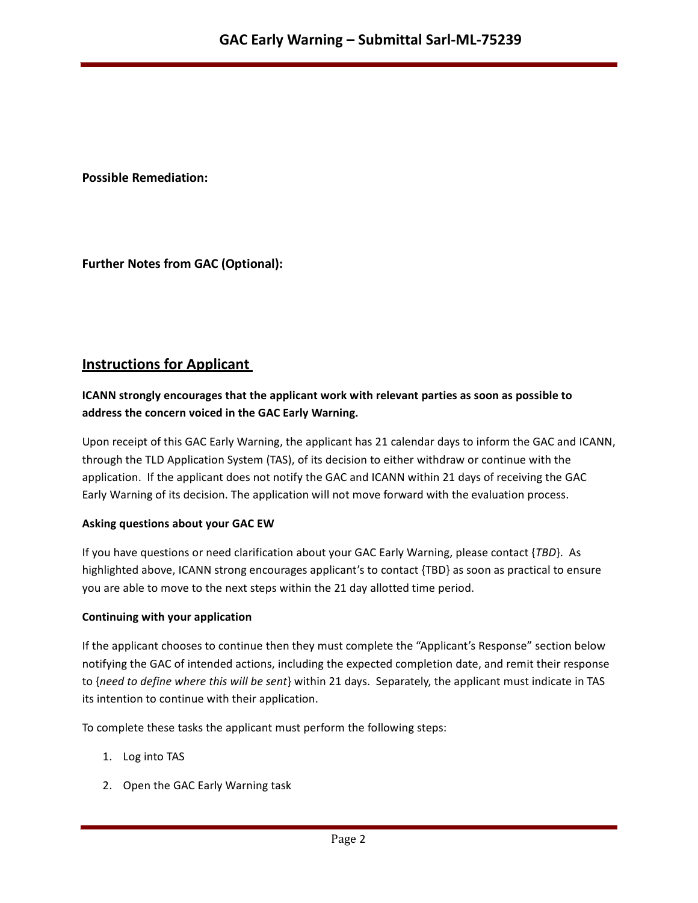**Possible Remediation:**

**Further Notes from GAC (Optional):**

# **Instructions for Applicant**

### **ICANN strongly encourages that the applicant work with relevant parties as soon as possible to address the concern voiced in the GAC Early Warning.**

Upon receipt of this GAC Early Warning, the applicant has 21 calendar days to inform the GAC and ICANN, through the TLD Application System (TAS), of its decision to either withdraw or continue with the application. If the applicant does not notify the GAC and ICANN within 21 days of receiving the GAC Early Warning of its decision. The application will not move forward with the evaluation process.

#### **Asking questions about your GAC EW**

If you have questions or need clarification about your GAC Early Warning, please contact {*TBD*}. As highlighted above, ICANN strong encourages applicant's to contact {TBD} as soon as practical to ensure you are able to move to the next steps within the 21 day allotted time period.

#### **Continuing with your application**

If the applicant chooses to continue then they must complete the "Applicant's Response" section below notifying the GAC of intended actions, including the expected completion date, and remit their response to {need to define where this will be sent} within 21 days. Separately, the applicant must indicate in TAS its intention to continue with their application.

To complete these tasks the applicant must perform the following steps:

- 1. Log into TAS
- 2. Open the GAC Early Warning task